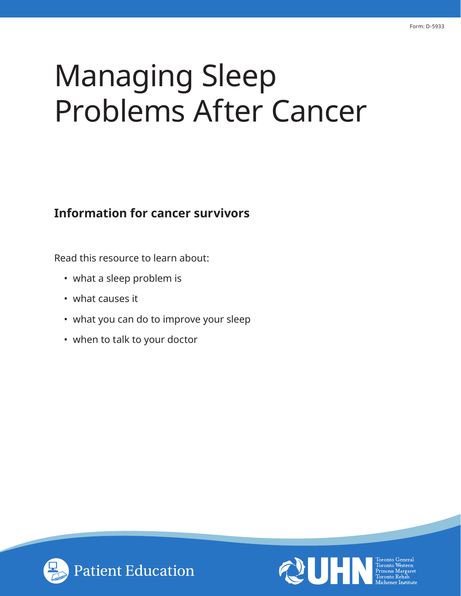# Managing Sleep Problems After Cancer

## **Information for cancer survivors**

Read this resource to learn about:

- what a sleep problem is
- what causes it
- what you can do to improve your sleep
- when to talk to your doctor



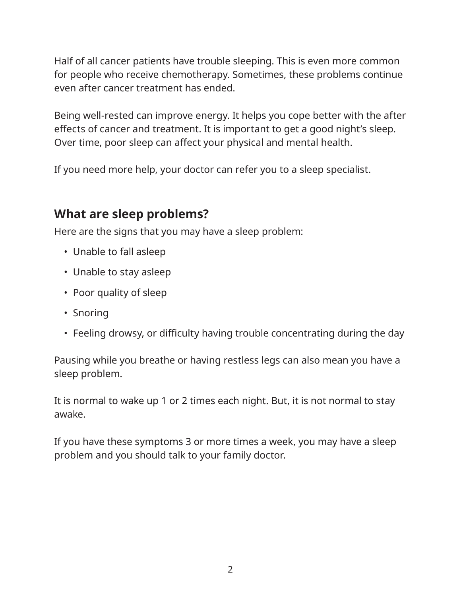Half of all cancer patients have trouble sleeping. This is even more common for people who receive chemotherapy. Sometimes, these problems continue even after cancer treatment has ended.

Being well-rested can improve energy. It helps you cope better with the after effects of cancer and treatment. It is important to get a good night's sleep. Over time, poor sleep can affect your physical and mental health.

If you need more help, your doctor can refer you to a sleep specialist.

## **What are sleep problems?**

Here are the signs that you may have a sleep problem:

- Unable to fall asleep
- Unable to stay asleep
- Poor quality of sleep
- Snoring
- Feeling drowsy, or difficulty having trouble concentrating during the day

Pausing while you breathe or having restless legs can also mean you have a sleep problem.

It is normal to wake up 1 or 2 times each night. But, it is not normal to stay awake.

If you have these symptoms 3 or more times a week, you may have a sleep problem and you should talk to your family doctor.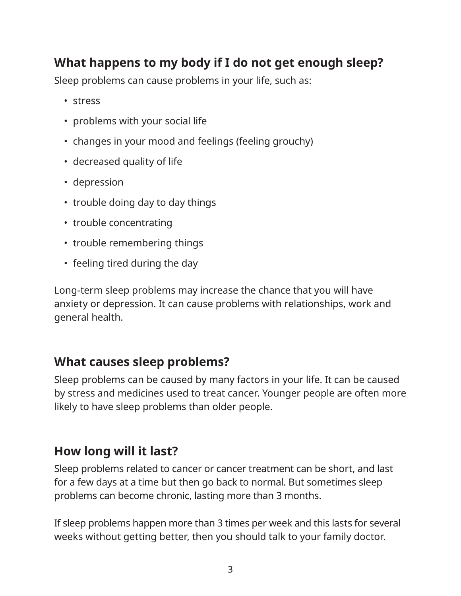# **What happens to my body if I do not get enough sleep?**

Sleep problems can cause problems in your life, such as:

- stress
- problems with your social life
- changes in your mood and feelings (feeling grouchy)
- decreased quality of life
- depression
- trouble doing day to day things
- trouble concentrating
- trouble remembering things
- feeling tired during the day

Long-term sleep problems may increase the chance that you will have anxiety or depression. It can cause problems with relationships, work and general health.

# **What causes sleep problems?**

Sleep problems can be caused by many factors in your life. It can be caused by stress and medicines used to treat cancer. Younger people are often more likely to have sleep problems than older people.

# **How long will it last?**

Sleep problems related to cancer or cancer treatment can be short, and last for a few days at a time but then go back to normal. But sometimes sleep problems can become chronic, lasting more than 3 months.

If sleep problems happen more than 3 times per week and this lasts for several weeks without getting better, then you should talk to your family doctor.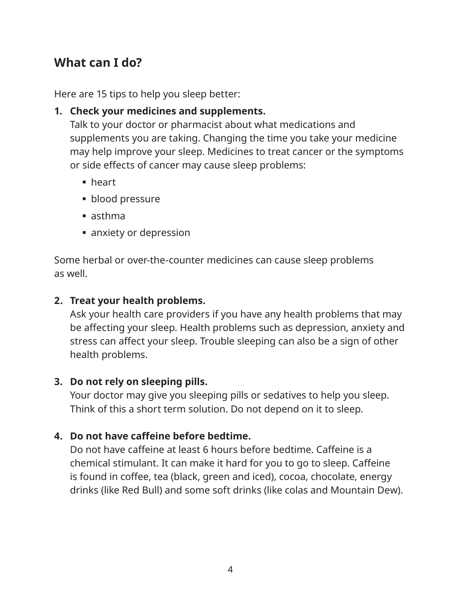## **What can I do?**

Here are 15 tips to help you sleep better:

#### **1. Check your medicines and supplements.**

Talk to your doctor or pharmacist about what medications and supplements you are taking. Changing the time you take your medicine may help improve your sleep. Medicines to treat cancer or the symptoms or side effects of cancer may cause sleep problems:

- heart
- **blood pressure**
- asthma
- **anxiety or depression**

Some herbal or over-the-counter medicines can cause sleep problems as well.

#### **2. Treat your health problems.**

Ask your health care providers if you have any health problems that may be affecting your sleep. Health problems such as depression, anxiety and stress can affect your sleep. Trouble sleeping can also be a sign of other health problems.

#### **3. Do not rely on sleeping pills.**

Your doctor may give you sleeping pills or sedatives to help you sleep. Think of this a short term solution. Do not depend on it to sleep.

#### **4. Do not have caffeine before bedtime.**

Do not have caffeine at least 6 hours before bedtime. Caffeine is a chemical stimulant. It can make it hard for you to go to sleep. Caffeine is found in coffee, tea (black, green and iced), cocoa, chocolate, energy drinks (like Red Bull) and some soft drinks (like colas and Mountain Dew).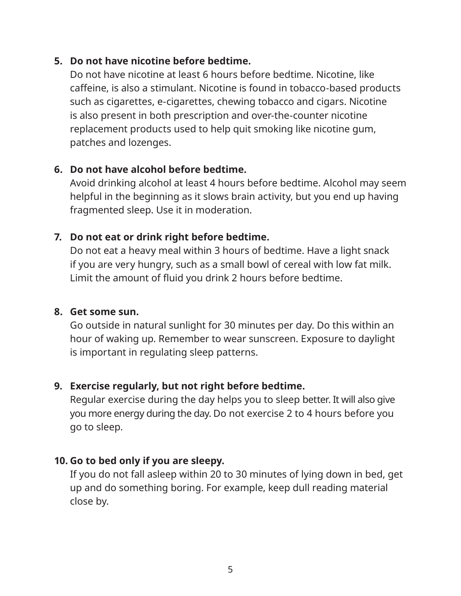#### **5. Do not have nicotine before bedtime.**

Do not have nicotine at least 6 hours before bedtime. Nicotine, like caffeine, is also a stimulant. Nicotine is found in tobacco-based products such as cigarettes, e-cigarettes, chewing tobacco and cigars. Nicotine is also present in both prescription and over-the-counter nicotine replacement products used to help quit smoking like nicotine gum, patches and lozenges.

#### **6. Do not have alcohol before bedtime.**

Avoid drinking alcohol at least 4 hours before bedtime. Alcohol may seem helpful in the beginning as it slows brain activity, but you end up having fragmented sleep. Use it in moderation.

#### **7. Do not eat or drink right before bedtime.**

Do not eat a heavy meal within 3 hours of bedtime. Have a light snack if you are very hungry, such as a small bowl of cereal with low fat milk. Limit the amount of fluid you drink 2 hours before bedtime.

#### **8. Get some sun.**

Go outside in natural sunlight for 30 minutes per day. Do this within an hour of waking up. Remember to wear sunscreen. Exposure to daylight is important in regulating sleep patterns.

#### **9. Exercise regularly, but not right before bedtime.**

Regular exercise during the day helps you to sleep better. It will also give you more energy during the day. Do not exercise 2 to 4 hours before you go to sleep.

#### **10. Go to bed only if you are sleepy.**

If you do not fall asleep within 20 to 30 minutes of lying down in bed, get up and do something boring. For example, keep dull reading material close by.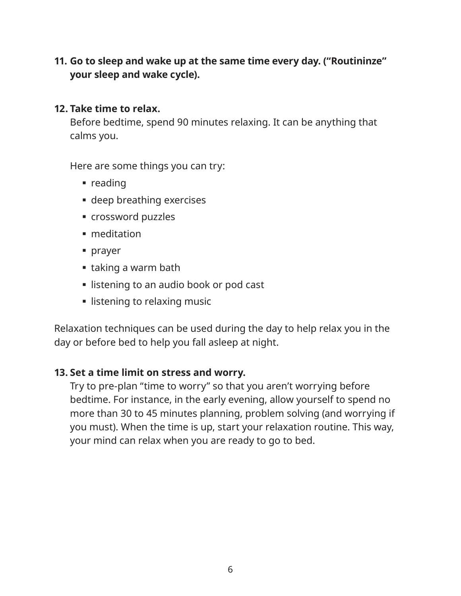**11. Go to sleep and wake up at the same time every day. ("Routininze" your sleep and wake cycle).**

#### **12. Take time to relax.**

Before bedtime, spend 90 minutes relaxing. It can be anything that calms you.

Here are some things you can try:

- $reading$
- deep breathing exercises
- crossword puzzles
- meditation
- prayer
- taking a warm bath
- **Example 1** listening to an audio book or pod cast
- **Example 1** listening to relaxing music

Relaxation techniques can be used during the day to help relax you in the day or before bed to help you fall asleep at night.

#### **13. Set a time limit on stress and worry.**

Try to pre-plan "time to worry" so that you aren't worrying before bedtime. For instance, in the early evening, allow yourself to spend no more than 30 to 45 minutes planning, problem solving (and worrying if you must). When the time is up, start your relaxation routine. This way, your mind can relax when you are ready to go to bed.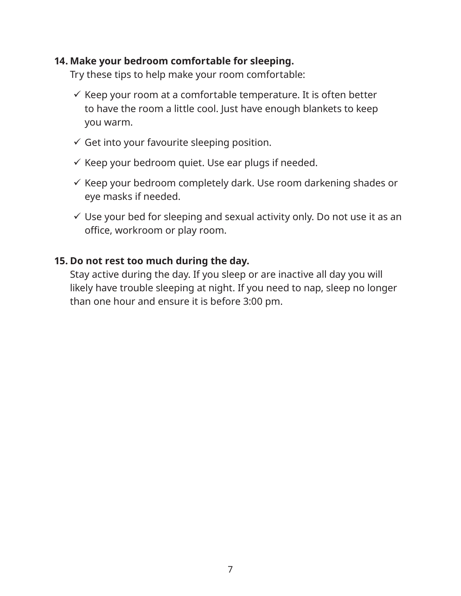#### **14. Make your bedroom comfortable for sleeping.**

Try these tips to help make your room comfortable:

- $\checkmark$  Keep your room at a comfortable temperature. It is often better to have the room a little cool. Just have enough blankets to keep you warm.
- $\checkmark$  Get into your favourite sleeping position.
- $\checkmark$  Keep your bedroom quiet. Use ear plugs if needed.
- $\checkmark$  Keep your bedroom completely dark. Use room darkening shades or eye masks if needed.
- $\checkmark$  Use your bed for sleeping and sexual activity only. Do not use it as an office, workroom or play room.

#### **15. Do not rest too much during the day.**

Stay active during the day. If you sleep or are inactive all day you will likely have trouble sleeping at night. If you need to nap, sleep no longer than one hour and ensure it is before 3:00 pm.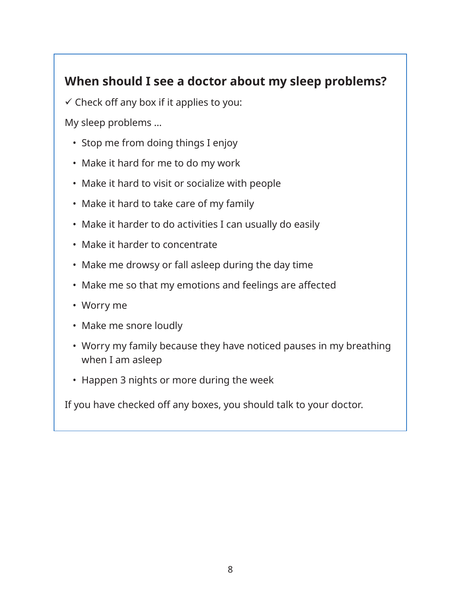# **When should I see a doctor about my sleep problems?**

 $\checkmark$  Check off any box if it applies to you:

My sleep problems …

- Stop me from doing things I enjoy
- Make it hard for me to do my work
- Make it hard to visit or socialize with people
- Make it hard to take care of my family
- Make it harder to do activities I can usually do easily
- Make it harder to concentrate
- Make me drowsy or fall asleep during the day time
- Make me so that my emotions and feelings are affected
- Worry me
- Make me snore loudly
- Worry my family because they have noticed pauses in my breathing when I am asleep
- Happen 3 nights or more during the week

If you have checked off any boxes, you should talk to your doctor.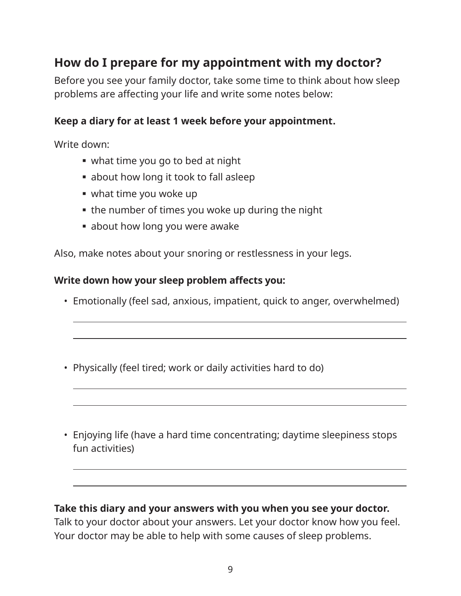# **How do I prepare for my appointment with my doctor?**

Before you see your family doctor, take some time to think about how sleep problems are affecting your life and write some notes below:

## **Keep a diary for at least 1 week before your appointment.**

Write down:

 $\overline{a}$ 

 $\overline{a}$ 

 $\overline{a}$ 

- what time you go to bed at night
- about how long it took to fall asleep
- what time you woke up
- the number of times you woke up during the night
- **about how long you were awake**

Also, make notes about your snoring or restlessness in your legs.

#### **Write down how your sleep problem affects you:**

- Emotionally (feel sad, anxious, impatient, quick to anger, overwhelmed)
- Physically (feel tired; work or daily activities hard to do)
- Enjoying life (have a hard time concentrating; daytime sleepiness stops fun activities)

#### **Take this diary and your answers with you when you see your doctor.**

Talk to your doctor about your answers. Let your doctor know how you feel. Your doctor may be able to help with some causes of sleep problems.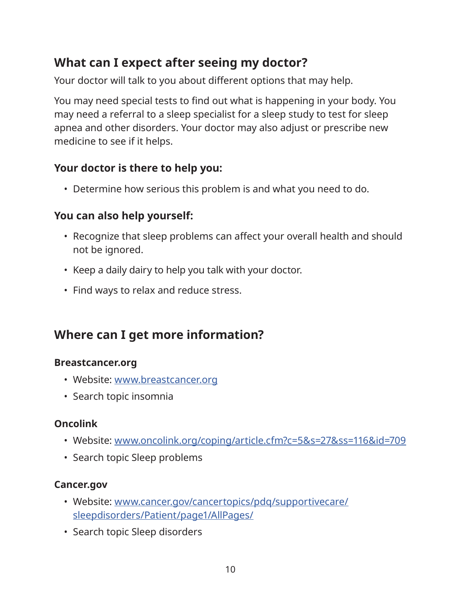# **What can I expect after seeing my doctor?**

Your doctor will talk to you about different options that may help.

You may need special tests to find out what is happening in your body. You may need a referral to a sleep specialist for a sleep study to test for sleep apnea and other disorders. Your doctor may also adjust or prescribe new medicine to see if it helps.

## **Your doctor is there to help you:**

• Determine how serious this problem is and what you need to do.

## **You can also help yourself:**

- Recognize that sleep problems can affect your overall health and should not be ignored.
- Keep a daily dairy to help you talk with your doctor.
- Find ways to relax and reduce stress.

## **Where can I get more information?**

#### **Breastcancer.org**

- Website: www.breastcancer.org
- Search topic insomnia

## **Oncolink**

- Website: www.oncolink.org/coping/article.cfm?c=5&s=27&ss=116&id=709
- Search topic Sleep problems

## **Cancer.gov**

- Website: www.cancer.gov/cancertopics/pdq/supportivecare/ sleepdisorders/Patient/page1/AllPages/
- Search topic Sleep disorders